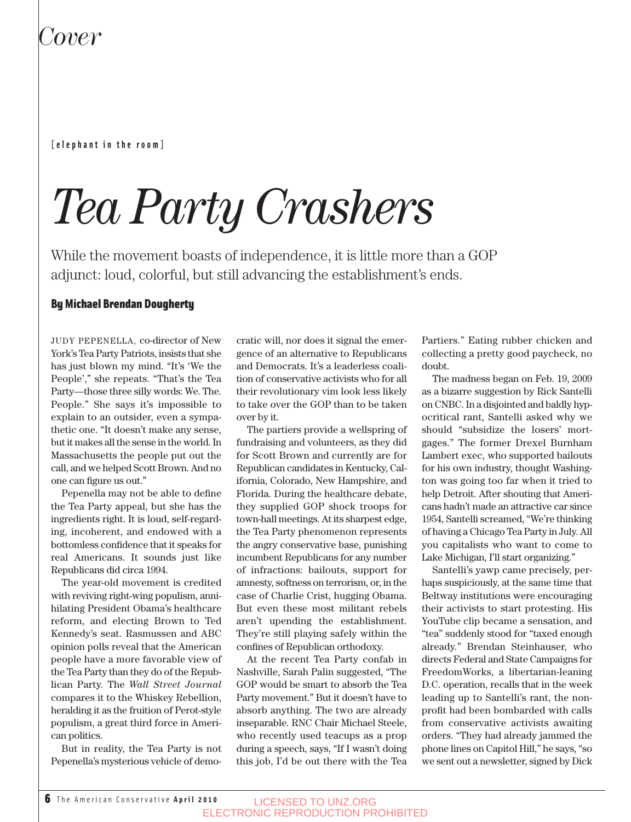## *Cover*

#### **[elephant in the room]**

# *Tea Party Crashers*

While the movement boasts of independence, it is little more than a GOP adjunct: loud, colorful, but still advancing the establishment's ends.

### By Michael Brendan Dougherty

JUDY PEPENELLA, co-director of New York's Tea Party Patriots, insists that she has just blown my mind. "It's 'We the People'," she repeats. "That's the Tea Party—those three silly words: We. The. People." She says it's impossible to explain to an outsider, even a sympathetic one. "It doesn't make any sense, but it makes all the sense in the world. In Massachusetts the people put out the call, and we helped Scott Brown. And no one can figure us out."

Pepenella may not be able to define the Tea Party appeal, but she has the ingredients right. It is loud, self-regarding, incoherent, and endowed with a bottomless confidence that it speaks for real Americans. It sounds just like Republicans did circa 1994.

The year-old movement is credited with reviving right-wing populism, annihilating President Obama's healthcare reform, and electing Brown to Ted Kennedy's seat. Rasmussen and ABC opinion polls reveal that the American people have a more favorable view of the Tea Party than they do of the Republican Party. The *Wall Street Journal* compares it to the Whiskey Rebellion, heralding it as the fruition of Perot-style populism, a great third force in American politics.

But in reality, the Tea Party is not Pepenella's mysterious vehicle of democratic will, nor does it signal the emergence of an alternative to Republicans and Democrats. It's a leaderless coalition of conservative activists who for all their revolutionary vim look less likely to take over the GOP than to be taken over by it.

The partiers provide a wellspring of fundraising and volunteers, as they did for Scott Brown and currently are for Republican candidates in Kentucky, California, Colorado, New Hampshire, and Florida. During the healthcare debate, they supplied GOP shock troops for town-hall meetings. At its sharpest edge, the Tea Party phenomenon represents the angry conservative base, punishing incumbent Republicans for any number of infractions: bailouts, support for amnesty, softness on terrorism, or, in the case of Charlie Crist, hugging Obama. But even these most militant rebels aren't upending the establishment. They're still playing safely within the confines of Republican orthodoxy.

At the recent Tea Party confab in Nashville, Sarah Palin suggested, "The GOP would be smart to absorb the Tea Party movement." But it doesn't have to absorb anything. The two are already inseparable. RNC Chair Michael Steele, who recently used teacups as a prop during a speech, says, "If I wasn't doing this job, I'd be out there with the Tea Partiers." Eating rubber chicken and collecting a pretty good paycheck, no doubt.

The madness began on Feb. 19, 2009 as a bizarre suggestion by Rick Santelli on CNBC. In a disjointed and baldly hypocritical rant, Santelli asked why we should "subsidize the losers' mortgages." The former Drexel Burnham Lambert exec, who supported bailouts for his own industry, thought Washington was going too far when it tried to help Detroit. After shouting that Americans hadn't made an attractive car since 1954, Santelli screamed, "We're thinking of having a Chicago Tea Party in July. All you capitalists who want to come to Lake Michigan, I'll start organizing."

Santelli's yawp came precisely, perhaps suspiciously, at the same time that Beltway institutions were encouraging their activists to start protesting. His YouTube clip became a sensation, and "tea" suddenly stood for "taxed enough already." Brendan Steinhauser, who directs Federal and State Campaigns for FreedomWorks, a libertarian-leaning D.C. operation, recalls that in the week leading up to Santelli's rant, the nonprofit had been bombarded with calls from conservative activists awaiting orders. "They had already jammed the phone lines on Capitol Hill," he says, "so we sent out a newsletter, signed by Dick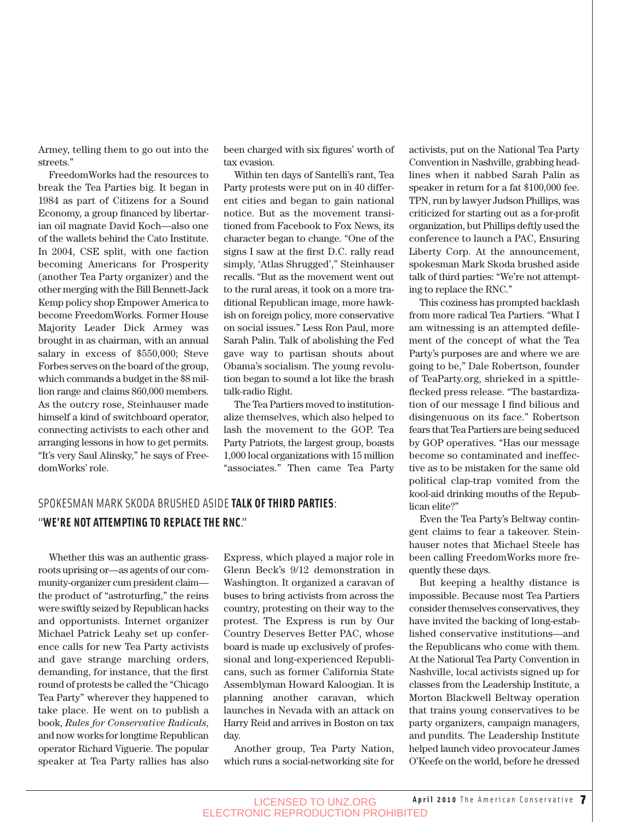Armey, telling them to go out into the streets."

FreedomWorks had the resources to break the Tea Parties big. It began in 1984 as part of Citizens for a Sound Economy, a group financed by libertarian oil magnate David Koch—also one of the wallets behind the Cato Institute. In 2004, CSE split, with one faction becoming Americans for Prosperity (another Tea Party organizer) and the other merging with the Bill Bennett-Jack Kemp policy shop Empower America to become FreedomWorks. Former House Majority Leader Dick Armey was brought in as chairman, with an annual salary in excess of \$550,000; Steve Forbes serves on the board of the group, which commands a budget in the \$8 million range and claims 860,000 members. As the outcry rose, Steinhauser made himself a kind of switchboard operator, connecting activists to each other and arranging lessons in how to get permits. "It's very Saul Alinsky," he says of FreedomWorks' role.

been charged with six figures' worth of tax evasion.

Within ten days of Santelli's rant, Tea Party protests were put on in 40 different cities and began to gain national notice. But as the movement transitioned from Facebook to Fox News, its character began to change. "One of the signs I saw at the first D.C. rally read simply, 'Atlas Shrugged'," Steinhauser recalls. "But as the movement went out to the rural areas, it took on a more traditional Republican image, more hawkish on foreign policy, more conservative on social issues." Less Ron Paul, more Sarah Palin. Talk of abolishing the Fed gave way to partisan shouts about Obama's socialism. The young revolution began to sound a lot like the brash talk-radio Right.

The Tea Partiers moved to institutionalize themselves, which also helped to lash the movement to the GOP. Tea Party Patriots, the largest group, boasts 1,000 local organizations with 15 million "associates." Then came Tea Party

### SPOKESMAN MARK SKODA BRUSHED ASIDE **TALK OF THIRD PARTIES**: "**WE'RE NOT ATTEMPTING TO REPLACE THE RNC**."

Whether this was an authentic grassroots uprising or—as agents of our community-organizer cum president claim the product of "astroturfing," the reins were swiftly seized by Republican hacks and opportunists. Internet organizer Michael Patrick Leahy set up conference calls for new Tea Party activists and gave strange marching orders, demanding, for instance, that the first round of protests be called the "Chicago Tea Party" wherever they happened to take place. He went on to publish a book, *Rules for Conservative Radicals*, and now works for longtime Republican operator Richard Viguerie. The popular speaker at Tea Party rallies has also Express, which played a major role in Glenn Beck's 9/12 demonstration in Washington. It organized a caravan of buses to bring activists from across the country, protesting on their way to the protest. The Express is run by Our Country Deserves Better PAC, whose board is made up exclusively of professional and long-experienced Republicans, such as former California State Assemblyman Howard Kaloogian. It is planning another caravan, which launches in Nevada with an attack on Harry Reid and arrives in Boston on tax day.

Another group, Tea Party Nation, which runs a social-networking site for activists, put on the National Tea Party Convention in Nashville, grabbing headlines when it nabbed Sarah Palin as speaker in return for a fat \$100,000 fee. TPN, run by lawyer Judson Phillips, was criticized for starting out as a for-profit organization, but Phillips deftly used the conference to launch a PAC, Ensuring Liberty Corp. At the announcement, spokesman Mark Skoda brushed aside talk of third parties: "We're not attempting to replace the RNC."

This coziness has prompted backlash from more radical Tea Partiers. "What I am witnessing is an attempted defilement of the concept of what the Tea Party's purposes are and where we are going to be," Dale Robertson, founder of TeaParty.org, shrieked in a spittleflecked press release. "The bastardization of our message I find bilious and disingenuous on its face." Robertson fears that Tea Partiers are being seduced by GOP operatives. "Has our message become so contaminated and ineffective as to be mistaken for the same old political clap-trap vomited from the kool-aid drinking mouths of the Republican elite?"

Even the Tea Party's Beltway contingent claims to fear a takeover. Steinhauser notes that Michael Steele has been calling FreedomWorks more frequently these days.

But keeping a healthy distance is impossible. Because most Tea Partiers consider themselves conservatives, they have invited the backing of long-established conservative institutions—and the Republicans who come with them. At the National Tea Party Convention in Nashville, local activists signed up for classes from the Leadership Institute, a Morton Blackwell Beltway operation that trains young conservatives to be party organizers, campaign managers, and pundits. The Leadership Institute helped launch video provocateur James O'Keefe on the world, before he dressed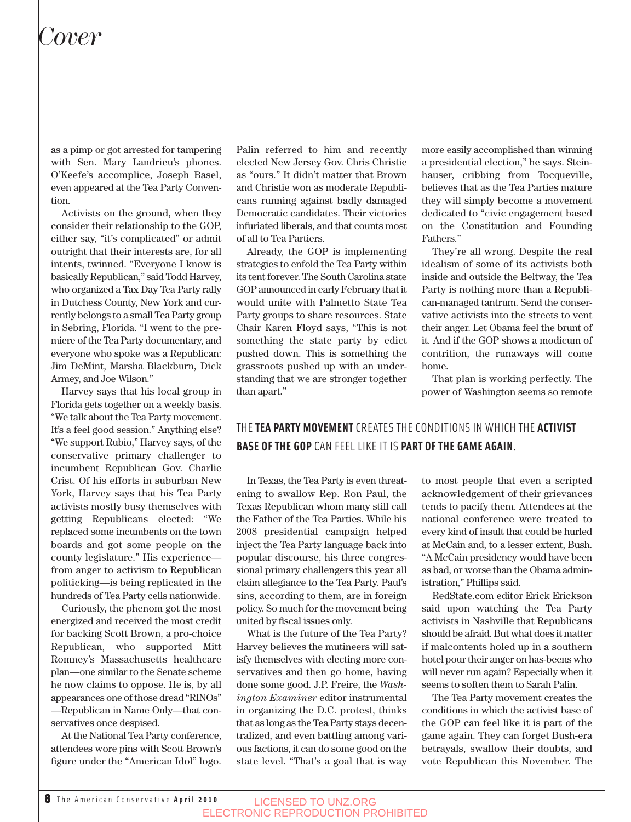## *Cover*

as a pimp or got arrested for tampering with Sen. Mary Landrieu's phones. O'Keefe's accomplice, Joseph Basel, even appeared at the Tea Party Convention.

Activists on the ground, when they consider their relationship to the GOP, either say, "it's complicated" or admit outright that their interests are, for all intents, twinned. "Everyone I know is basically Republican," said Todd Harvey, who organized a Tax Day Tea Party rally in Dutchess County, New York and currently belongs to a small Tea Party group in Sebring, Florida. "I went to the premiere of the Tea Party documentary, and everyone who spoke was a Republican: Jim DeMint, Marsha Blackburn, Dick Armey, and Joe Wilson."

Harvey says that his local group in Florida gets together on a weekly basis. "We talk about the Tea Party movement. It's a feel good session." Anything else? "We support Rubio," Harvey says, of the conservative primary challenger to incumbent Republican Gov. Charlie Crist. Of his efforts in suburban New York, Harvey says that his Tea Party activists mostly busy themselves with getting Republicans elected: "We replaced some incumbents on the town boards and got some people on the county legislature." His experience from anger to activism to Republican politicking—is being replicated in the hundreds of Tea Party cells nationwide.

Curiously, the phenom got the most energized and received the most credit for backing Scott Brown, a pro-choice Republican, who supported Mitt Romney's Massachusetts healthcare plan—one similar to the Senate scheme he now claims to oppose. He is, by all appearances one of those dread "RINOs" —Republican in Name Only—that conservatives once despised.

At the National Tea Party conference, attendees wore pins with Scott Brown's figure under the "American Idol" logo.

Palin referred to him and recently elected New Jersey Gov. Chris Christie as "ours." It didn't matter that Brown and Christie won as moderate Republicans running against badly damaged Democratic candidates. Their victories infuriated liberals, and that counts most of all to Tea Partiers.

Already, the GOP is implementing strategies to enfold the Tea Party within its tent forever. The South Carolina state GOP announced in early February that it would unite with Palmetto State Tea Party groups to share resources. State Chair Karen Floyd says, "This is not something the state party by edict pushed down. This is something the grassroots pushed up with an understanding that we are stronger together than apart."

more easily accomplished than winning a presidential election," he says. Steinhauser, cribbing from Tocqueville, believes that as the Tea Parties mature they will simply become a movement dedicated to "civic engagement based on the Constitution and Founding Fathers."

They're all wrong. Despite the real idealism of some of its activists both inside and outside the Beltway, the Tea Party is nothing more than a Republican-managed tantrum. Send the conservative activists into the streets to vent their anger. Let Obama feel the brunt of it. And if the GOP shows a modicum of contrition, the runaways will come home.

That plan is working perfectly. The power of Washington seems so remote

## THE **TEA PARTY MOVEMENT** CREATES THE CONDITIONS IN WHICH THE **ACTIVIST BASE OF THE GOP** CAN FEEL LIKE IT IS **PART OF THE GAME AGAIN**.

In Texas, the Tea Party is even threatening to swallow Rep. Ron Paul, the Texas Republican whom many still call the Father of the Tea Parties. While his 2008 presidential campaign helped inject the Tea Party language back into popular discourse, his three congressional primary challengers this year all claim allegiance to the Tea Party. Paul's sins, according to them, are in foreign policy. So much for the movement being united by fiscal issues only.

What is the future of the Tea Party? Harvey believes the mutineers will satisfy themselves with electing more conservatives and then go home, having done some good. J.P. Freire, the *Washington Examiner* editor instrumental in organizing the D.C. protest, thinks that as long as the Tea Party stays decentralized, and even battling among various factions, it can do some good on the state level. "That's a goal that is way to most people that even a scripted acknowledgement of their grievances tends to pacify them. Attendees at the national conference were treated to every kind of insult that could be hurled at McCain and, to a lesser extent, Bush. "A McCain presidency would have been as bad, or worse than the Obama administration," Phillips said.

RedState.com editor Erick Erickson said upon watching the Tea Party activists in Nashville that Republicans should be afraid. But what does it matter if malcontents holed up in a southern hotel pour their anger on has-beens who will never run again? Especially when it seems to soften them to Sarah Palin.

The Tea Party movement creates the conditions in which the activist base of the GOP can feel like it is part of the game again. They can forget Bush-era betrayals, swallow their doubts, and vote Republican this November. The